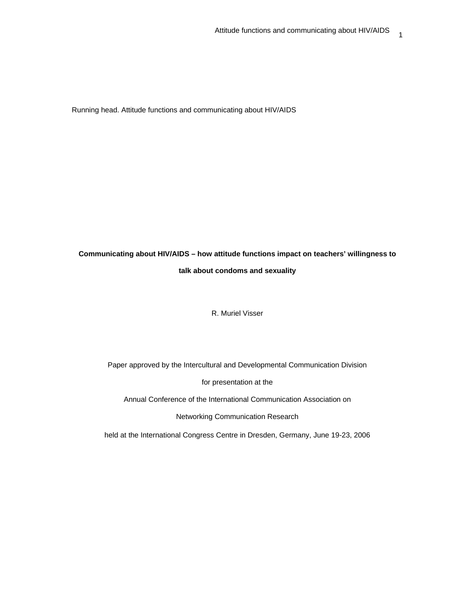Running head. Attitude functions and communicating about HIV/AIDS

# **Communicating about HIV/AIDS – how attitude functions impact on teachers' willingness to talk about condoms and sexuality**

R. Muriel Visser

Paper approved by the Intercultural and Developmental Communication Division

for presentation at the

Annual Conference of the International Communication Association on

Networking Communication Research

held at the International Congress Centre in Dresden, Germany, June 19-23, 2006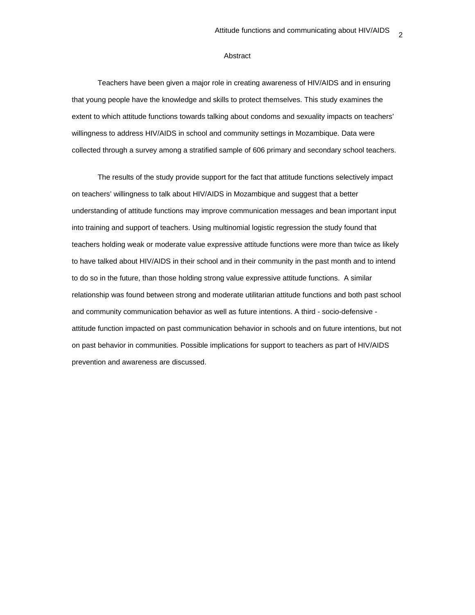## Abstract

Teachers have been given a major role in creating awareness of HIV/AIDS and in ensuring that young people have the knowledge and skills to protect themselves. This study examines the extent to which attitude functions towards talking about condoms and sexuality impacts on teachers' willingness to address HIV/AIDS in school and community settings in Mozambique. Data were collected through a survey among a stratified sample of 606 primary and secondary school teachers.

The results of the study provide support for the fact that attitude functions selectively impact on teachers' willingness to talk about HIV/AIDS in Mozambique and suggest that a better understanding of attitude functions may improve communication messages and bean important input into training and support of teachers. Using multinomial logistic regression the study found that teachers holding weak or moderate value expressive attitude functions were more than twice as likely to have talked about HIV/AIDS in their school and in their community in the past month and to intend to do so in the future, than those holding strong value expressive attitude functions. A similar relationship was found between strong and moderate utilitarian attitude functions and both past school and community communication behavior as well as future intentions. A third - socio-defensive attitude function impacted on past communication behavior in schools and on future intentions, but not on past behavior in communities. Possible implications for support to teachers as part of HIV/AIDS prevention and awareness are discussed.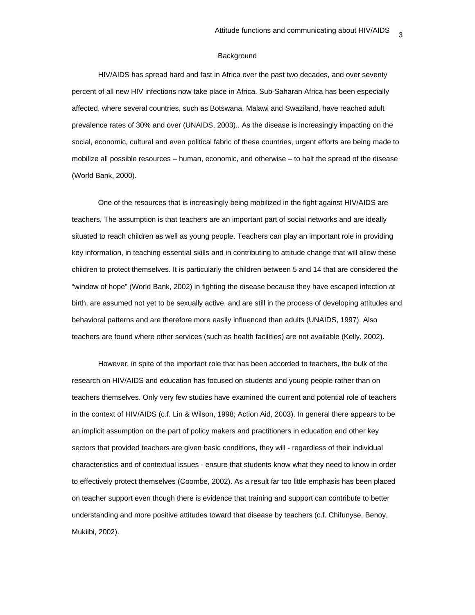#### Background

HIV/AIDS has spread hard and fast in Africa over the past two decades, and over seventy percent of all new HIV infections now take place in Africa. Sub-Saharan Africa has been especially affected, where several countries, such as Botswana, Malawi and Swaziland, have reached adult prevalence rates of 30% and over (UNAIDS, 2003).. As the disease is increasingly impacting on the social, economic, cultural and even political fabric of these countries, urgent efforts are being made to mobilize all possible resources – human, economic, and otherwise – to halt the spread of the disease (World Bank, 2000).

One of the resources that is increasingly being mobilized in the fight against HIV/AIDS are teachers. The assumption is that teachers are an important part of social networks and are ideally situated to reach children as well as young people. Teachers can play an important role in providing key information, in teaching essential skills and in contributing to attitude change that will allow these children to protect themselves. It is particularly the children between 5 and 14 that are considered the "window of hope" (World Bank, 2002) in fighting the disease because they have escaped infection at birth, are assumed not yet to be sexually active, and are still in the process of developing attitudes and behavioral patterns and are therefore more easily influenced than adults (UNAIDS, 1997). Also teachers are found where other services (such as health facilities) are not available (Kelly, 2002).

However, in spite of the important role that has been accorded to teachers, the bulk of the research on HIV/AIDS and education has focused on students and young people rather than on teachers themselves. Only very few studies have examined the current and potential role of teachers in the context of HIV/AIDS (c.f. Lin & Wilson, 1998; Action Aid, 2003). In general there appears to be an implicit assumption on the part of policy makers and practitioners in education and other key sectors that provided teachers are given basic conditions, they will - regardless of their individual characteristics and of contextual issues - ensure that students know what they need to know in order to effectively protect themselves (Coombe, 2002). As a result far too little emphasis has been placed on teacher support even though there is evidence that training and support can contribute to better understanding and more positive attitudes toward that disease by teachers (c.f. Chifunyse, Benoy, Mukiibi, 2002).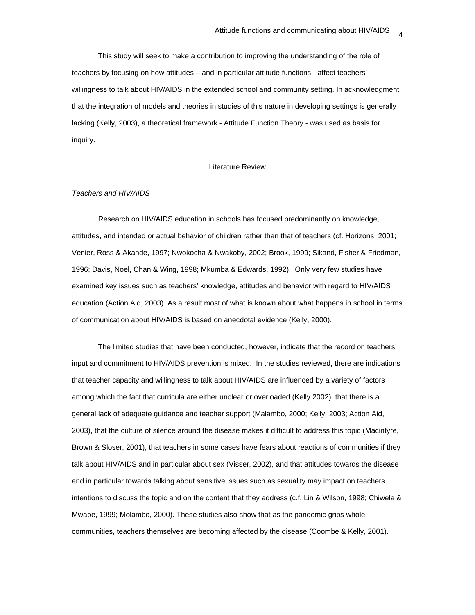This study will seek to make a contribution to improving the understanding of the role of teachers by focusing on how attitudes – and in particular attitude functions - affect teachers' willingness to talk about HIV/AIDS in the extended school and community setting. In acknowledgment that the integration of models and theories in studies of this nature in developing settings is generally lacking (Kelly, 2003), a theoretical framework - Attitude Function Theory - was used as basis for inquiry.

#### Literature Review

# *Teachers and HIV/AIDS*

Research on HIV/AIDS education in schools has focused predominantly on knowledge, attitudes, and intended or actual behavior of children rather than that of teachers (cf. Horizons, 2001; Venier, Ross & Akande, 1997; Nwokocha & Nwakoby, 2002; Brook, 1999; Sikand, Fisher & Friedman, 1996; Davis, Noel, Chan & Wing, 1998; Mkumba & Edwards, 1992). Only very few studies have examined key issues such as teachers' knowledge, attitudes and behavior with regard to HIV/AIDS education (Action Aid, 2003). As a result most of what is known about what happens in school in terms of communication about HIV/AIDS is based on anecdotal evidence (Kelly, 2000).

The limited studies that have been conducted, however, indicate that the record on teachers' input and commitment to HIV/AIDS prevention is mixed. In the studies reviewed, there are indications that teacher capacity and willingness to talk about HIV/AIDS are influenced by a variety of factors among which the fact that curricula are either unclear or overloaded (Kelly 2002), that there is a general lack of adequate guidance and teacher support (Malambo, 2000; Kelly, 2003; Action Aid, 2003), that the culture of silence around the disease makes it difficult to address this topic (Macintyre, Brown & Sloser, 2001), that teachers in some cases have fears about reactions of communities if they talk about HIV/AIDS and in particular about sex (Visser, 2002), and that attitudes towards the disease and in particular towards talking about sensitive issues such as sexuality may impact on teachers intentions to discuss the topic and on the content that they address (c.f. Lin & Wilson, 1998; Chiwela & Mwape, 1999; Molambo, 2000). These studies also show that as the pandemic grips whole communities, teachers themselves are becoming affected by the disease (Coombe & Kelly, 2001).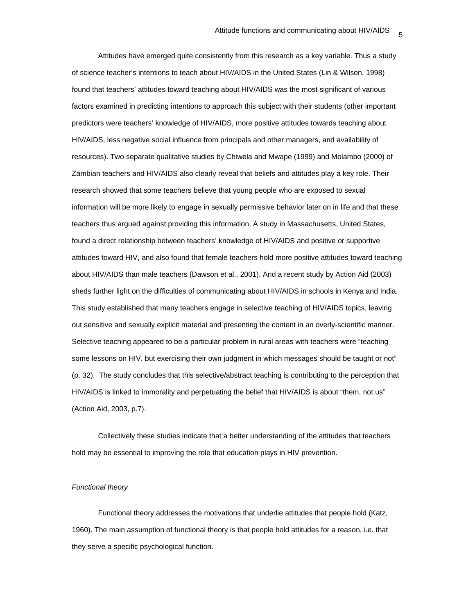Attitudes have emerged quite consistently from this research as a key variable. Thus a study of science teacher's intentions to teach about HIV/AIDS in the United States (Lin & Wilson, 1998) found that teachers' attitudes toward teaching about HIV/AIDS was the most significant of various factors examined in predicting intentions to approach this subject with their students (other important predictors were teachers' knowledge of HIV/AIDS, more positive attitudes towards teaching about HIV/AIDS, less negative social influence from principals and other managers, and availability of resources). Two separate qualitative studies by Chiwela and Mwape (1999) and Molambo (2000) of Zambian teachers and HIV/AIDS also clearly reveal that beliefs and attitudes play a key role. Their research showed that some teachers believe that young people who are exposed to sexual information will be more likely to engage in sexually permissive behavior later on in life and that these teachers thus argued against providing this information. A study in Massachusetts, United States, found a direct relationship between teachers' knowledge of HIV/AIDS and positive or supportive attitudes toward HIV, and also found that female teachers hold more positive attitudes toward teaching about HIV/AIDS than male teachers (Dawson et al., 2001). And a recent study by Action Aid (2003) sheds further light on the difficulties of communicating about HIV/AIDS in schools in Kenya and India. This study established that many teachers engage in selective teaching of HIV/AIDS topics, leaving out sensitive and sexually explicit material and presenting the content in an overly-scientific manner. Selective teaching appeared to be a particular problem in rural areas with teachers were "teaching some lessons on HIV, but exercising their own judgment in which messages should be taught or not" (p. 32). The study concludes that this selective/abstract teaching is contributing to the perception that HIV/AIDS is linked to immorality and perpetuating the belief that HIV/AIDS is about "them, not us" (Action Aid, 2003, p.7).

Collectively these studies indicate that a better understanding of the attitudes that teachers hold may be essential to improving the role that education plays in HIV prevention.

#### *Functional theory*

Functional theory addresses the motivations that underlie attitudes that people hold (Katz, 1960). The main assumption of functional theory is that people hold attitudes for a reason, i.e. that they serve a specific psychological function.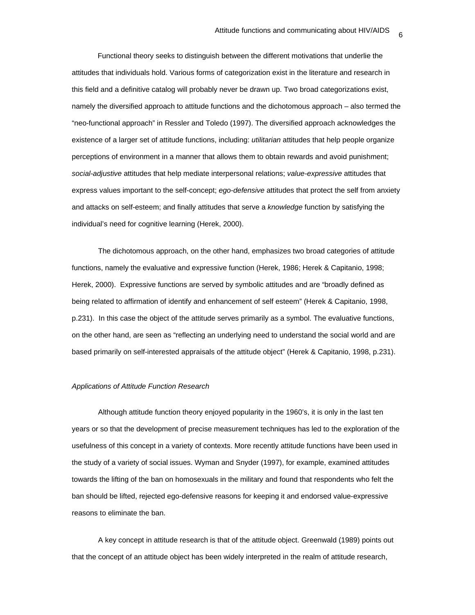Functional theory seeks to distinguish between the different motivations that underlie the attitudes that individuals hold. Various forms of categorization exist in the literature and research in this field and a definitive catalog will probably never be drawn up. Two broad categorizations exist, namely the diversified approach to attitude functions and the dichotomous approach – also termed the "neo-functional approach" in Ressler and Toledo (1997). The diversified approach acknowledges the existence of a larger set of attitude functions, including: *utilitarian* attitudes that help people organize perceptions of environment in a manner that allows them to obtain rewards and avoid punishment; *social-adjustive* attitudes that help mediate interpersonal relations; *value-expressive* attitudes that express values important to the self-concept; *ego-defensive* attitudes that protect the self from anxiety and attacks on self-esteem; and finally attitudes that serve a *knowledge* function by satisfying the individual's need for cognitive learning (Herek, 2000).

The dichotomous approach, on the other hand, emphasizes two broad categories of attitude functions, namely the evaluative and expressive function (Herek, 1986; Herek & Capitanio, 1998; Herek, 2000). Expressive functions are served by symbolic attitudes and are "broadly defined as being related to affirmation of identify and enhancement of self esteem" (Herek & Capitanio, 1998, p.231). In this case the object of the attitude serves primarily as a symbol. The evaluative functions, on the other hand, are seen as "reflecting an underlying need to understand the social world and are based primarily on self-interested appraisals of the attitude object" (Herek & Capitanio, 1998, p.231).

#### *Applications of Attitude Function Research*

Although attitude function theory enjoyed popularity in the 1960's, it is only in the last ten years or so that the development of precise measurement techniques has led to the exploration of the usefulness of this concept in a variety of contexts. More recently attitude functions have been used in the study of a variety of social issues. Wyman and Snyder (1997), for example, examined attitudes towards the lifting of the ban on homosexuals in the military and found that respondents who felt the ban should be lifted, rejected ego-defensive reasons for keeping it and endorsed value-expressive reasons to eliminate the ban.

A key concept in attitude research is that of the attitude object. Greenwald (1989) points out that the concept of an attitude object has been widely interpreted in the realm of attitude research,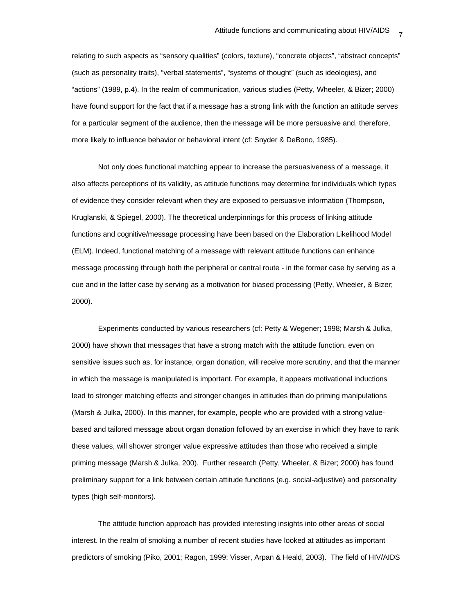relating to such aspects as "sensory qualities" (colors, texture), "concrete objects", "abstract concepts" (such as personality traits), "verbal statements", "systems of thought" (such as ideologies), and "actions" (1989, p.4). In the realm of communication, various studies (Petty, Wheeler, & Bizer; 2000) have found support for the fact that if a message has a strong link with the function an attitude serves for a particular segment of the audience, then the message will be more persuasive and, therefore, more likely to influence behavior or behavioral intent (cf: Snyder & DeBono, 1985).

Not only does functional matching appear to increase the persuasiveness of a message, it also affects perceptions of its validity, as attitude functions may determine for individuals which types of evidence they consider relevant when they are exposed to persuasive information (Thompson, Kruglanski, & Spiegel, 2000). The theoretical underpinnings for this process of linking attitude functions and cognitive/message processing have been based on the Elaboration Likelihood Model (ELM). Indeed, functional matching of a message with relevant attitude functions can enhance message processing through both the peripheral or central route - in the former case by serving as a cue and in the latter case by serving as a motivation for biased processing (Petty, Wheeler, & Bizer; 2000).

Experiments conducted by various researchers (cf: Petty & Wegener; 1998; Marsh & Julka, 2000) have shown that messages that have a strong match with the attitude function, even on sensitive issues such as, for instance, organ donation, will receive more scrutiny, and that the manner in which the message is manipulated is important. For example, it appears motivational inductions lead to stronger matching effects and stronger changes in attitudes than do priming manipulations (Marsh & Julka, 2000). In this manner, for example, people who are provided with a strong valuebased and tailored message about organ donation followed by an exercise in which they have to rank these values, will shower stronger value expressive attitudes than those who received a simple priming message (Marsh & Julka, 200). Further research (Petty, Wheeler, & Bizer; 2000) has found preliminary support for a link between certain attitude functions (e.g. social-adjustive) and personality types (high self-monitors).

The attitude function approach has provided interesting insights into other areas of social interest. In the realm of smoking a number of recent studies have looked at attitudes as important predictors of smoking (Piko, 2001; Ragon, 1999; Visser, Arpan & Heald, 2003). The field of HIV/AIDS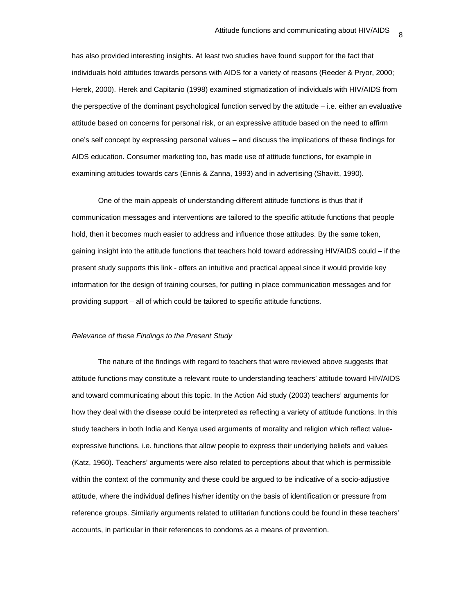has also provided interesting insights. At least two studies have found support for the fact that individuals hold attitudes towards persons with AIDS for a variety of reasons (Reeder & Pryor, 2000; Herek, 2000). Herek and Capitanio (1998) examined stigmatization of individuals with HIV/AIDS from the perspective of the dominant psychological function served by the attitude – i.e. either an evaluative attitude based on concerns for personal risk, or an expressive attitude based on the need to affirm one's self concept by expressing personal values – and discuss the implications of these findings for AIDS education. Consumer marketing too, has made use of attitude functions, for example in examining attitudes towards cars (Ennis & Zanna, 1993) and in advertising (Shavitt, 1990).

One of the main appeals of understanding different attitude functions is thus that if communication messages and interventions are tailored to the specific attitude functions that people hold, then it becomes much easier to address and influence those attitudes. By the same token, gaining insight into the attitude functions that teachers hold toward addressing HIV/AIDS could – if the present study supports this link - offers an intuitive and practical appeal since it would provide key information for the design of training courses, for putting in place communication messages and for providing support – all of which could be tailored to specific attitude functions.

#### *Relevance of these Findings to the Present Study*

The nature of the findings with regard to teachers that were reviewed above suggests that attitude functions may constitute a relevant route to understanding teachers' attitude toward HIV/AIDS and toward communicating about this topic. In the Action Aid study (2003) teachers' arguments for how they deal with the disease could be interpreted as reflecting a variety of attitude functions. In this study teachers in both India and Kenya used arguments of morality and religion which reflect valueexpressive functions, i.e. functions that allow people to express their underlying beliefs and values (Katz, 1960). Teachers' arguments were also related to perceptions about that which is permissible within the context of the community and these could be argued to be indicative of a socio-adjustive attitude, where the individual defines his/her identity on the basis of identification or pressure from reference groups. Similarly arguments related to utilitarian functions could be found in these teachers' accounts, in particular in their references to condoms as a means of prevention.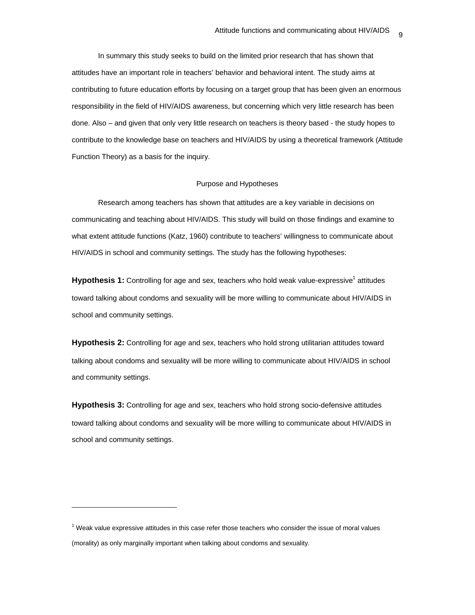In summary this study seeks to build on the limited prior research that has shown that attitudes have an important role in teachers' behavior and behavioral intent. The study aims at contributing to future education efforts by focusing on a target group that has been given an enormous responsibility in the field of HIV/AIDS awareness, but concerning which very little research has been done. Also – and given that only very little research on teachers is theory based - the study hopes to contribute to the knowledge base on teachers and HIV/AIDS by using a theoretical framework (Attitude Function Theory) as a basis for the inquiry.

#### Purpose and Hypotheses

Research among teachers has shown that attitudes are a key variable in decisions on communicating and teaching about HIV/AIDS. This study will build on those findings and examine to what extent attitude functions (Katz, 1960) contribute to teachers' willingness to communicate about HIV/AIDS in school and community settings. The study has the following hypotheses:

Hypothesis 1: Controlling for age and sex, teachers who hold weak value-expressive<sup>1</sup> attitudes toward talking about condoms and sexuality will be more willing to communicate about HIV/AIDS in school and community settings.

**Hypothesis 2:** Controlling for age and sex, teachers who hold strong utilitarian attitudes toward talking about condoms and sexuality will be more willing to communicate about HIV/AIDS in school and community settings.

**Hypothesis 3:** Controlling for age and sex, teachers who hold strong socio-defensive attitudes toward talking about condoms and sexuality will be more willing to communicate about HIV/AIDS in school and community settings.

 $\overline{a}$ 

 $<sup>1</sup>$  Weak value expressive attitudes in this case refer those teachers who consider the issue of moral values</sup> (morality) as only marginally important when talking about condoms and sexuality.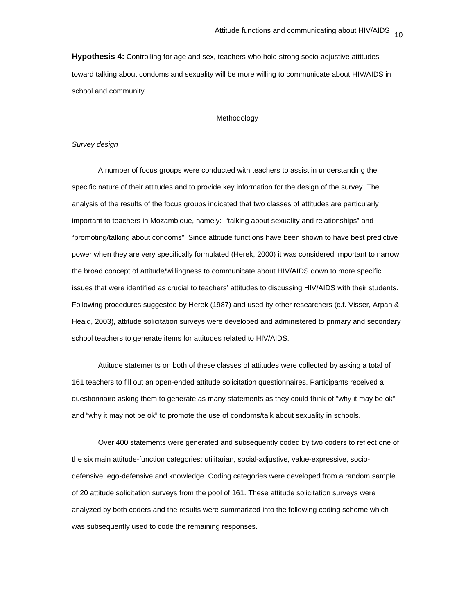**Hypothesis 4:** Controlling for age and sex, teachers who hold strong socio-adjustive attitudes toward talking about condoms and sexuality will be more willing to communicate about HIV/AIDS in school and community.

#### Methodology

# *Survey design*

A number of focus groups were conducted with teachers to assist in understanding the specific nature of their attitudes and to provide key information for the design of the survey. The analysis of the results of the focus groups indicated that two classes of attitudes are particularly important to teachers in Mozambique, namely: "talking about sexuality and relationships" and "promoting/talking about condoms". Since attitude functions have been shown to have best predictive power when they are very specifically formulated (Herek, 2000) it was considered important to narrow the broad concept of attitude/willingness to communicate about HIV/AIDS down to more specific issues that were identified as crucial to teachers' attitudes to discussing HIV/AIDS with their students. Following procedures suggested by Herek (1987) and used by other researchers (c.f. Visser, Arpan & Heald, 2003), attitude solicitation surveys were developed and administered to primary and secondary school teachers to generate items for attitudes related to HIV/AIDS.

Attitude statements on both of these classes of attitudes were collected by asking a total of 161 teachers to fill out an open-ended attitude solicitation questionnaires. Participants received a questionnaire asking them to generate as many statements as they could think of "why it may be ok" and "why it may not be ok" to promote the use of condoms/talk about sexuality in schools.

Over 400 statements were generated and subsequently coded by two coders to reflect one of the six main attitude-function categories: utilitarian, social-adjustive, value-expressive, sociodefensive, ego-defensive and knowledge. Coding categories were developed from a random sample of 20 attitude solicitation surveys from the pool of 161. These attitude solicitation surveys were analyzed by both coders and the results were summarized into the following coding scheme which was subsequently used to code the remaining responses.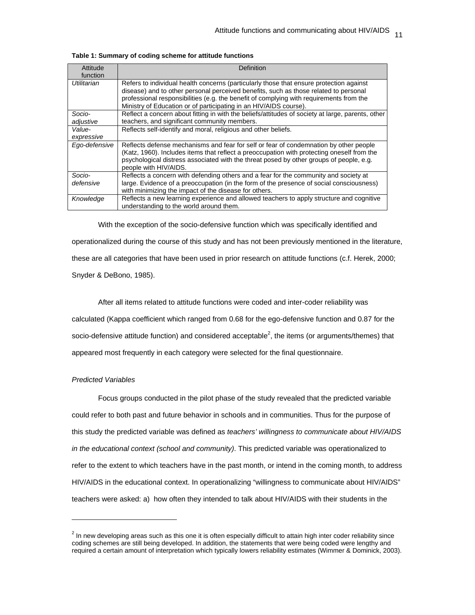| Attitude<br>function | Definition                                                                                                                                                                                                                                                                                                                                      |
|----------------------|-------------------------------------------------------------------------------------------------------------------------------------------------------------------------------------------------------------------------------------------------------------------------------------------------------------------------------------------------|
| Utilitarian          | Refers to individual health concerns (particularly those that ensure protection against<br>disease) and to other personal perceived benefits, such as those related to personal<br>professional responsibilities (e.g. the benefit of complying with requirements from the<br>Ministry of Education or of participating in an HIV/AIDS course). |
| Socio-<br>adjustive  | Reflect a concern about fitting in with the beliefs/attitudes of society at large, parents, other<br>teachers, and significant community members.                                                                                                                                                                                               |
| Value-<br>expressive | Reflects self-identify and moral, religious and other beliefs.                                                                                                                                                                                                                                                                                  |
| Ego-defensive        | Reflects defense mechanisms and fear for self or fear of condemnation by other people<br>(Katz, 1960). Includes items that reflect a preoccupation with protecting oneself from the<br>psychological distress associated with the threat posed by other groups of people, e.g.<br>people with HIV/AIDS.                                         |
| Socio-<br>defensive  | Reflects a concern with defending others and a fear for the community and society at<br>large. Evidence of a preoccupation (in the form of the presence of social consciousness)<br>with minimizing the impact of the disease for others.                                                                                                       |
| Knowledge            | Reflects a new learning experience and allowed teachers to apply structure and cognitive<br>understanding to the world around them.                                                                                                                                                                                                             |

|  |  |  | Table 1: Summary of coding scheme for attitude functions |
|--|--|--|----------------------------------------------------------|
|--|--|--|----------------------------------------------------------|

With the exception of the socio-defensive function which was specifically identified and operationalized during the course of this study and has not been previously mentioned in the literature, these are all categories that have been used in prior research on attitude functions (c.f. Herek, 2000; Snyder & DeBono, 1985).

After all items related to attitude functions were coded and inter-coder reliability was calculated (Kappa coefficient which ranged from 0.68 for the ego-defensive function and 0.87 for the socio-defensive attitude function) and considered acceptable<sup>2</sup>, the items (or arguments/themes) that appeared most frequently in each category were selected for the final questionnaire.

# *Predicted Variables*

l

Focus groups conducted in the pilot phase of the study revealed that the predicted variable could refer to both past and future behavior in schools and in communities. Thus for the purpose of this study the predicted variable was defined as *teachers' willingness to communicate about HIV/AIDS in the educational context (school and community)*. This predicted variable was operationalized to refer to the extent to which teachers have in the past month, or intend in the coming month, to address HIV/AIDS in the educational context. In operationalizing "willingness to communicate about HIV/AIDS" teachers were asked: a) how often they intended to talk about HIV/AIDS with their students in the

 $^2$  In new developing areas such as this one it is often especially difficult to attain high inter coder reliability since coding schemes are still being developed. In addition, the statements that were being coded were lengthy and required a certain amount of interpretation which typically lowers reliability estimates (Wimmer & Dominick, 2003).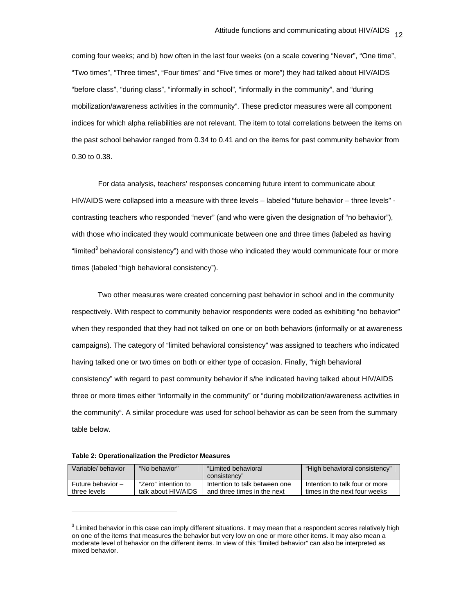coming four weeks; and b) how often in the last four weeks (on a scale covering "Never", "One time", "Two times", "Three times", "Four times" and "Five times or more") they had talked about HIV/AIDS "before class", "during class", "informally in school", "informally in the community", and "during mobilization/awareness activities in the community". These predictor measures were all component indices for which alpha reliabilities are not relevant. The item to total correlations between the items on the past school behavior ranged from 0.34 to 0.41 and on the items for past community behavior from 0.30 to 0.38.

For data analysis, teachers' responses concerning future intent to communicate about HIV/AIDS were collapsed into a measure with three levels – labeled "future behavior – three levels" contrasting teachers who responded "never" (and who were given the designation of "no behavior"), with those who indicated they would communicate between one and three times (labeled as having "limited<sup>3</sup> behavioral consistency") and with those who indicated they would communicate four or more times (labeled "high behavioral consistency").

Two other measures were created concerning past behavior in school and in the community respectively. With respect to community behavior respondents were coded as exhibiting "no behavior" when they responded that they had not talked on one or on both behaviors (informally or at awareness campaigns). The category of "limited behavioral consistency" was assigned to teachers who indicated having talked one or two times on both or either type of occasion. Finally, "high behavioral consistency" with regard to past community behavior if s/he indicated having talked about HIV/AIDS three or more times either "informally in the community" or "during mobilization/awareness activities in the community". A similar procedure was used for school behavior as can be seen from the summary table below.

**Table 2: Operationalization the Predictor Measures** 

l

| Variable/behavior | "No behavior"       | "Limited behavioral           | "High behavioral consistency"  |
|-------------------|---------------------|-------------------------------|--------------------------------|
|                   |                     | consistency"                  |                                |
| Future behavior - | "Zero" intention to | Intention to talk between one | Intention to talk four or more |
| three levels      | talk about HIV/AIDS | and three times in the next   | times in the next four weeks   |

 $3$  Limited behavior in this case can imply different situations. It may mean that a respondent scores relatively high on one of the items that measures the behavior but very low on one or more other items. It may also mean a moderate level of behavior on the different items. In view of this "limited behavior" can also be interpreted as mixed behavior.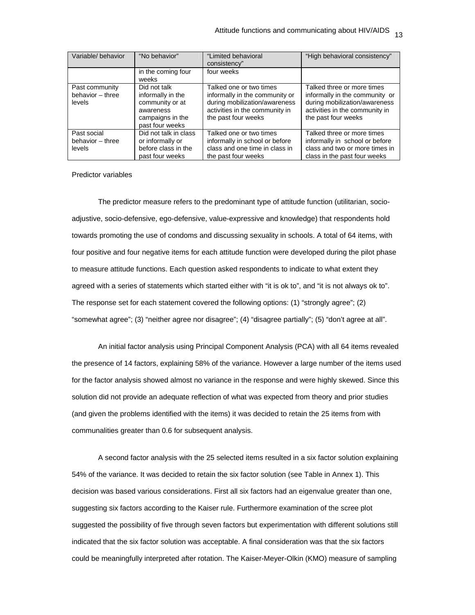| Variable/behavior | "No behavior"         | "Limited behavioral            | "High behavioral consistency"  |
|-------------------|-----------------------|--------------------------------|--------------------------------|
|                   |                       | consistency"                   |                                |
|                   | in the coming four    | four weeks                     |                                |
|                   | weeks                 |                                |                                |
| Past community    | Did not talk          | Talked one or two times        | Talked three or more times     |
| behavior - three  | informally in the     | informally in the community or | informally in the community or |
| levels            | community or at       | during mobilization/awareness  | during mobilization/awareness  |
|                   | awareness             | activities in the community in | activities in the community in |
|                   | campaigns in the      | the past four weeks            | the past four weeks            |
|                   | past four weeks       |                                |                                |
| Past social       | Did not talk in class | Talked one or two times        | Talked three or more times     |
| behavior - three  | or informally or      | informally in school or before | informally in school or before |
| levels            | before class in the   | class and one time in class in | class and two or more times in |
|                   | past four weeks       | the past four weeks            | class in the past four weeks   |

# Predictor variables

The predictor measure refers to the predominant type of attitude function (utilitarian, socioadjustive, socio-defensive, ego-defensive, value-expressive and knowledge) that respondents hold towards promoting the use of condoms and discussing sexuality in schools. A total of 64 items, with four positive and four negative items for each attitude function were developed during the pilot phase to measure attitude functions. Each question asked respondents to indicate to what extent they agreed with a series of statements which started either with "it is ok to", and "it is not always ok to". The response set for each statement covered the following options: (1) "strongly agree"; (2) "somewhat agree"; (3) "neither agree nor disagree"; (4) "disagree partially"; (5) "don't agree at all".

An initial factor analysis using Principal Component Analysis (PCA) with all 64 items revealed the presence of 14 factors, explaining 58% of the variance. However a large number of the items used for the factor analysis showed almost no variance in the response and were highly skewed. Since this solution did not provide an adequate reflection of what was expected from theory and prior studies (and given the problems identified with the items) it was decided to retain the 25 items from with communalities greater than 0.6 for subsequent analysis.

A second factor analysis with the 25 selected items resulted in a six factor solution explaining 54% of the variance. It was decided to retain the six factor solution (see Table in Annex 1). This decision was based various considerations. First all six factors had an eigenvalue greater than one, suggesting six factors according to the Kaiser rule. Furthermore examination of the scree plot suggested the possibility of five through seven factors but experimentation with different solutions still indicated that the six factor solution was acceptable. A final consideration was that the six factors could be meaningfully interpreted after rotation. The Kaiser-Meyer-Olkin (KMO) measure of sampling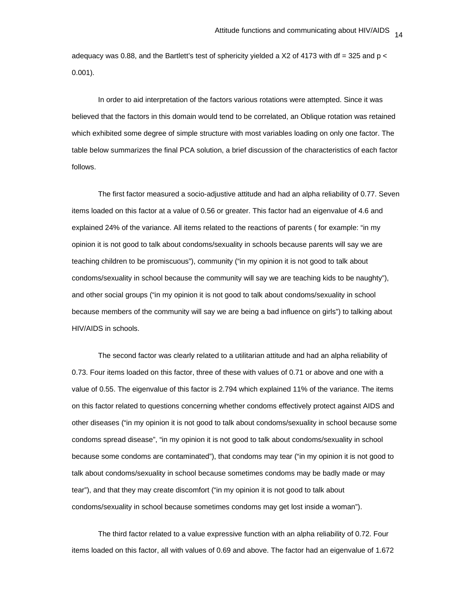adequacy was 0.88, and the Bartlett's test of sphericity yielded a X2 of 4173 with df = 325 and  $p \lt$ 0.001).

In order to aid interpretation of the factors various rotations were attempted. Since it was believed that the factors in this domain would tend to be correlated, an Oblique rotation was retained which exhibited some degree of simple structure with most variables loading on only one factor. The table below summarizes the final PCA solution, a brief discussion of the characteristics of each factor follows.

The first factor measured a socio-adjustive attitude and had an alpha reliability of 0.77. Seven items loaded on this factor at a value of 0.56 or greater. This factor had an eigenvalue of 4.6 and explained 24% of the variance. All items related to the reactions of parents ( for example: "in my opinion it is not good to talk about condoms/sexuality in schools because parents will say we are teaching children to be promiscuous"), community ("in my opinion it is not good to talk about condoms/sexuality in school because the community will say we are teaching kids to be naughty"), and other social groups ("in my opinion it is not good to talk about condoms/sexuality in school because members of the community will say we are being a bad influence on girls") to talking about HIV/AIDS in schools.

The second factor was clearly related to a utilitarian attitude and had an alpha reliability of 0.73. Four items loaded on this factor, three of these with values of 0.71 or above and one with a value of 0.55. The eigenvalue of this factor is 2.794 which explained 11% of the variance. The items on this factor related to questions concerning whether condoms effectively protect against AIDS and other diseases ("in my opinion it is not good to talk about condoms/sexuality in school because some condoms spread disease", "in my opinion it is not good to talk about condoms/sexuality in school because some condoms are contaminated"), that condoms may tear ("in my opinion it is not good to talk about condoms/sexuality in school because sometimes condoms may be badly made or may tear"), and that they may create discomfort ("in my opinion it is not good to talk about condoms/sexuality in school because sometimes condoms may get lost inside a woman").

The third factor related to a value expressive function with an alpha reliability of 0.72. Four items loaded on this factor, all with values of 0.69 and above. The factor had an eigenvalue of 1.672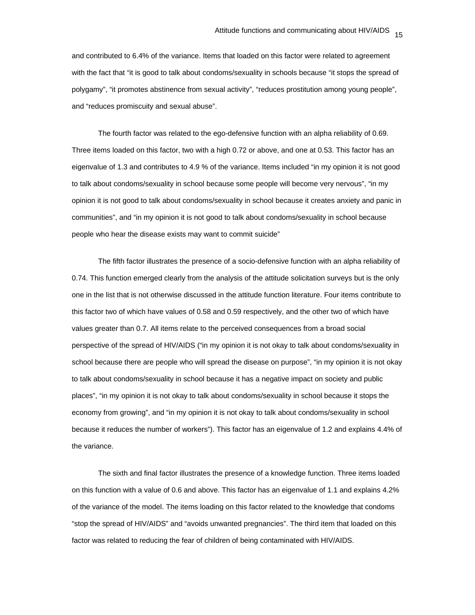and contributed to 6.4% of the variance. Items that loaded on this factor were related to agreement with the fact that "it is good to talk about condoms/sexuality in schools because "it stops the spread of polygamy", "it promotes abstinence from sexual activity", "reduces prostitution among young people", and "reduces promiscuity and sexual abuse".

The fourth factor was related to the ego-defensive function with an alpha reliability of 0.69. Three items loaded on this factor, two with a high 0.72 or above, and one at 0.53. This factor has an eigenvalue of 1.3 and contributes to 4.9 % of the variance. Items included "in my opinion it is not good to talk about condoms/sexuality in school because some people will become very nervous", "in my opinion it is not good to talk about condoms/sexuality in school because it creates anxiety and panic in communities", and "in my opinion it is not good to talk about condoms/sexuality in school because people who hear the disease exists may want to commit suicide"

The fifth factor illustrates the presence of a socio-defensive function with an alpha reliability of 0.74. This function emerged clearly from the analysis of the attitude solicitation surveys but is the only one in the list that is not otherwise discussed in the attitude function literature. Four items contribute to this factor two of which have values of 0.58 and 0.59 respectively, and the other two of which have values greater than 0.7. All items relate to the perceived consequences from a broad social perspective of the spread of HIV/AIDS ("in my opinion it is not okay to talk about condoms/sexuality in school because there are people who will spread the disease on purpose", "in my opinion it is not okay to talk about condoms/sexuality in school because it has a negative impact on society and public places", "in my opinion it is not okay to talk about condoms/sexuality in school because it stops the economy from growing", and "in my opinion it is not okay to talk about condoms/sexuality in school because it reduces the number of workers"). This factor has an eigenvalue of 1.2 and explains 4.4% of the variance.

The sixth and final factor illustrates the presence of a knowledge function. Three items loaded on this function with a value of 0.6 and above. This factor has an eigenvalue of 1.1 and explains 4.2% of the variance of the model. The items loading on this factor related to the knowledge that condoms "stop the spread of HIV/AIDS" and "avoids unwanted pregnancies". The third item that loaded on this factor was related to reducing the fear of children of being contaminated with HIV/AIDS.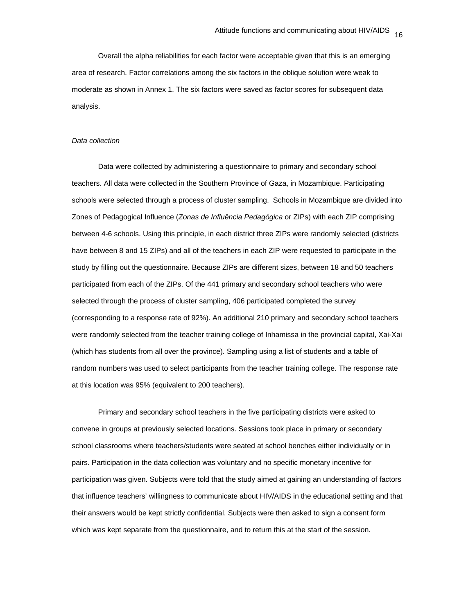Overall the alpha reliabilities for each factor were acceptable given that this is an emerging area of research. Factor correlations among the six factors in the oblique solution were weak to moderate as shown in Annex 1. The six factors were saved as factor scores for subsequent data analysis.

#### *Data collection*

Data were collected by administering a questionnaire to primary and secondary school teachers. All data were collected in the Southern Province of Gaza, in Mozambique. Participating schools were selected through a process of cluster sampling. Schools in Mozambique are divided into Zones of Pedagogical Influence (*Zonas de Influência Pedagógica* or ZIPs) with each ZIP comprising between 4-6 schools. Using this principle, in each district three ZIPs were randomly selected (districts have between 8 and 15 ZIPs) and all of the teachers in each ZIP were requested to participate in the study by filling out the questionnaire. Because ZIPs are different sizes, between 18 and 50 teachers participated from each of the ZIPs. Of the 441 primary and secondary school teachers who were selected through the process of cluster sampling, 406 participated completed the survey (corresponding to a response rate of 92%). An additional 210 primary and secondary school teachers were randomly selected from the teacher training college of Inhamissa in the provincial capital, Xai-Xai (which has students from all over the province). Sampling using a list of students and a table of random numbers was used to select participants from the teacher training college. The response rate at this location was 95% (equivalent to 200 teachers).

Primary and secondary school teachers in the five participating districts were asked to convene in groups at previously selected locations. Sessions took place in primary or secondary school classrooms where teachers/students were seated at school benches either individually or in pairs. Participation in the data collection was voluntary and no specific monetary incentive for participation was given. Subjects were told that the study aimed at gaining an understanding of factors that influence teachers' willingness to communicate about HIV/AIDS in the educational setting and that their answers would be kept strictly confidential. Subjects were then asked to sign a consent form which was kept separate from the questionnaire, and to return this at the start of the session.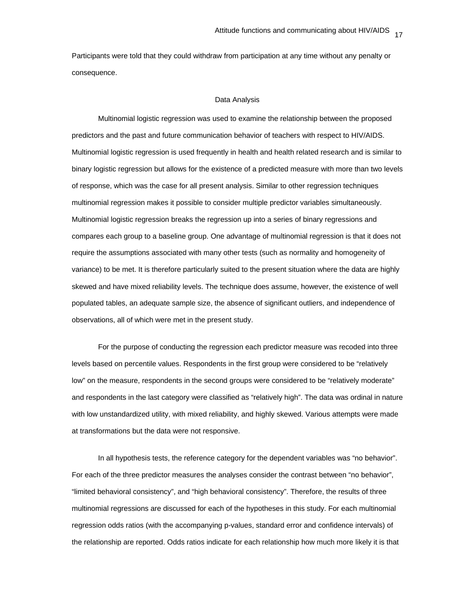Participants were told that they could withdraw from participation at any time without any penalty or consequence.

#### Data Analysis

Multinomial logistic regression was used to examine the relationship between the proposed predictors and the past and future communication behavior of teachers with respect to HIV/AIDS. Multinomial logistic regression is used frequently in health and health related research and is similar to binary logistic regression but allows for the existence of a predicted measure with more than two levels of response, which was the case for all present analysis. Similar to other regression techniques multinomial regression makes it possible to consider multiple predictor variables simultaneously. Multinomial logistic regression breaks the regression up into a series of binary regressions and compares each group to a baseline group. One advantage of multinomial regression is that it does not require the assumptions associated with many other tests (such as normality and homogeneity of variance) to be met. It is therefore particularly suited to the present situation where the data are highly skewed and have mixed reliability levels. The technique does assume, however, the existence of well populated tables, an adequate sample size, the absence of significant outliers, and independence of observations, all of which were met in the present study.

For the purpose of conducting the regression each predictor measure was recoded into three levels based on percentile values. Respondents in the first group were considered to be "relatively low" on the measure, respondents in the second groups were considered to be "relatively moderate" and respondents in the last category were classified as "relatively high". The data was ordinal in nature with low unstandardized utility, with mixed reliability, and highly skewed. Various attempts were made at transformations but the data were not responsive.

In all hypothesis tests, the reference category for the dependent variables was "no behavior". For each of the three predictor measures the analyses consider the contrast between "no behavior", "limited behavioral consistency", and "high behavioral consistency". Therefore, the results of three multinomial regressions are discussed for each of the hypotheses in this study. For each multinomial regression odds ratios (with the accompanying p-values, standard error and confidence intervals) of the relationship are reported. Odds ratios indicate for each relationship how much more likely it is that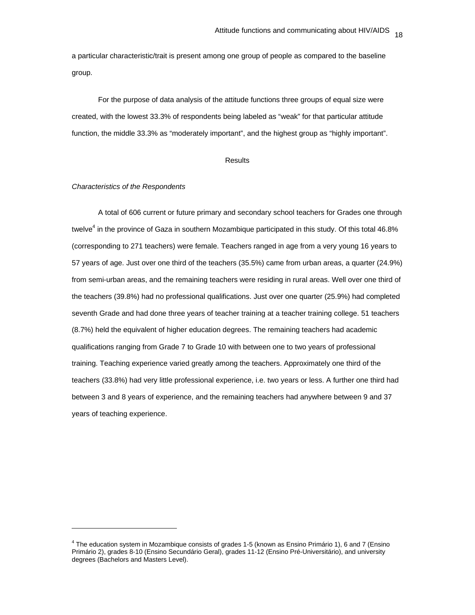a particular characteristic/trait is present among one group of people as compared to the baseline group.

For the purpose of data analysis of the attitude functions three groups of equal size were created, with the lowest 33.3% of respondents being labeled as "weak" for that particular attitude function, the middle 33.3% as "moderately important", and the highest group as "highly important".

#### **Results**

#### *Characteristics of the Respondents*

l

A total of 606 current or future primary and secondary school teachers for Grades one through twelve<sup>4</sup> in the province of Gaza in southern Mozambique participated in this study. Of this total 46.8% (corresponding to 271 teachers) were female. Teachers ranged in age from a very young 16 years to 57 years of age. Just over one third of the teachers (35.5%) came from urban areas, a quarter (24.9%) from semi-urban areas, and the remaining teachers were residing in rural areas. Well over one third of the teachers (39.8%) had no professional qualifications. Just over one quarter (25.9%) had completed seventh Grade and had done three years of teacher training at a teacher training college. 51 teachers (8.7%) held the equivalent of higher education degrees. The remaining teachers had academic qualifications ranging from Grade 7 to Grade 10 with between one to two years of professional training. Teaching experience varied greatly among the teachers. Approximately one third of the teachers (33.8%) had very little professional experience, i.e. two years or less. A further one third had between 3 and 8 years of experience, and the remaining teachers had anywhere between 9 and 37 years of teaching experience.

<sup>4</sup> The education system in Mozambique consists of grades 1-5 (known as Ensino Primário 1), 6 and 7 (Ensino Primário 2), grades 8-10 (Ensino Secundário Geral), grades 11-12 (Ensino Pré-Universitário), and university degrees (Bachelors and Masters Level).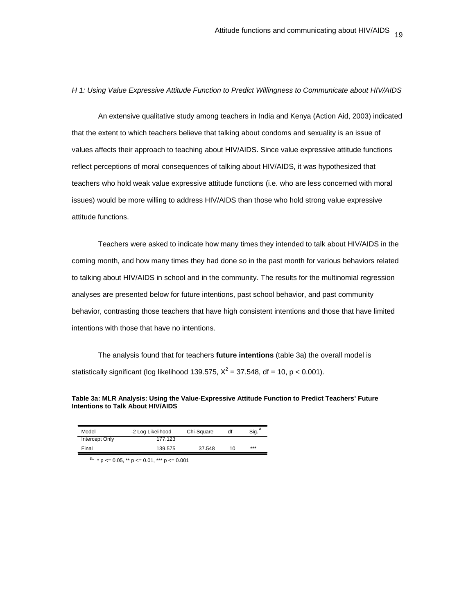*H 1: Using Value Expressive Attitude Function to Predict Willingness to Communicate about HIV/AIDS* 

An extensive qualitative study among teachers in India and Kenya (Action Aid, 2003) indicated that the extent to which teachers believe that talking about condoms and sexuality is an issue of values affects their approach to teaching about HIV/AIDS. Since value expressive attitude functions reflect perceptions of moral consequences of talking about HIV/AIDS, it was hypothesized that teachers who hold weak value expressive attitude functions (i.e. who are less concerned with moral issues) would be more willing to address HIV/AIDS than those who hold strong value expressive attitude functions.

Teachers were asked to indicate how many times they intended to talk about HIV/AIDS in the coming month, and how many times they had done so in the past month for various behaviors related to talking about HIV/AIDS in school and in the community. The results for the multinomial regression analyses are presented below for future intentions, past school behavior, and past community behavior, contrasting those teachers that have high consistent intentions and those that have limited intentions with those that have no intentions.

The analysis found that for teachers **future intentions** (table 3a) the overall model is statistically significant (log likelihood 139.575,  $X^2 = 37.548$ , df = 10, p < 0.001).

## **Table 3a: MLR Analysis: Using the Value-Expressive Attitude Function to Predict Teachers' Future Intentions to Talk About HIV/AIDS**

| Model          | -2 Log Likelihood | Chi-Square | df | Sia. |
|----------------|-------------------|------------|----|------|
| Intercept Only | 177.123           |            |    |      |
| Final          | 139.575           | 37.548     | 10 | ***  |

a.  $* p \le 0.05$ ,  $** p \le 0.01$ ,  $*** p \le 0.001$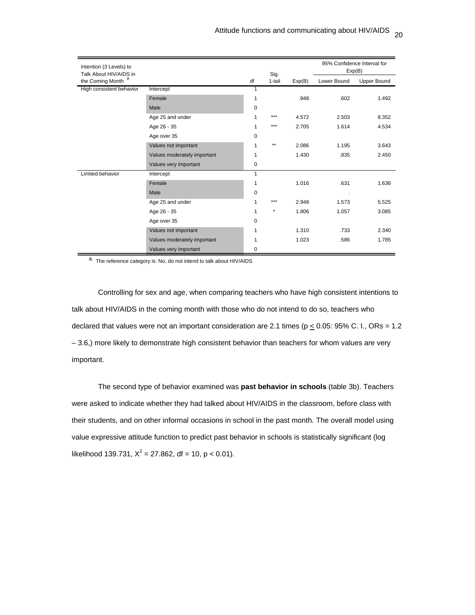| Intention (3 Levels) to<br>Talk About HIV/AIDS in |                             |             | Sig.    |        |             | 95% Confidence Interval for<br>Exp(B) |
|---------------------------------------------------|-----------------------------|-------------|---------|--------|-------------|---------------------------------------|
| the Coming Month                                  |                             | df          | 1-tail  | Exp(B) | Lower Bound | <b>Upper Bound</b>                    |
| High consistent behavior                          | Intercept                   | 1           |         |        |             |                                       |
|                                                   | Female                      | 1           |         | .948   | .602        | 1.492                                 |
|                                                   | Male                        | 0           |         |        |             |                                       |
|                                                   | Age 25 and under            |             | ***     | 4.572  | 2.503       | 8.352                                 |
|                                                   | Age 26 - 35                 | 1           | ***     | 2.705  | 1.614       | 4.534                                 |
|                                                   | Age over 35                 | 0           |         |        |             |                                       |
|                                                   | Values not important        | 1           | $***$   | 2.086  | 1.195       | 3.643                                 |
|                                                   | Values moderately important | 1           |         | 1.430  | .835        | 2.450                                 |
|                                                   | Values very important       | 0           |         |        |             |                                       |
| Limited behavior                                  | Intercept                   | 1           |         |        |             |                                       |
|                                                   | Female                      | 1           |         | 1.016  | .631        | 1.636                                 |
|                                                   | Male                        | $\mathbf 0$ |         |        | $\cdot$     |                                       |
|                                                   | Age 25 and under            | 1           | ***     | 2.948  | 1.573       | 5.525                                 |
|                                                   | Age 26 - 35                 | 1           | $\star$ | 1.806  | 1.057       | 3.085                                 |
|                                                   | Age over 35                 | 0           |         |        |             |                                       |
|                                                   | Values not important        | 1           |         | 1.310  | .733        | 2.340                                 |
|                                                   | Values moderately important |             |         | 1.023  | .586        | 1.785                                 |
|                                                   | Values very important       | 0           |         |        |             |                                       |

a. The reference category is: No, do not intend to talk about HIV/AIDS

Controlling for sex and age, when comparing teachers who have high consistent intentions to talk about HIV/AIDS in the coming month with those who do not intend to do so, teachers who declared that values were not an important consideration are 2.1 times ( $p \le 0.05$ : 95% C. I., ORs = 1.2 – 3.6,) more likely to demonstrate high consistent behavior than teachers for whom values are very important.

The second type of behavior examined was **past behavior in schools** (table 3b). Teachers were asked to indicate whether they had talked about HIV/AIDS in the classroom, before class with their students, and on other informal occasions in school in the past month. The overall model using value expressive attitude function to predict past behavior in schools is statistically significant (log likelihood 139.731,  $X^2 = 27.862$ , df = 10, p < 0.01).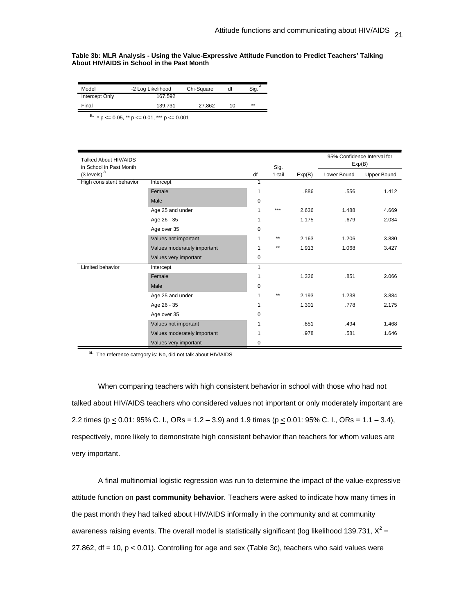#### **Table 3b: MLR Analysis - Using the Value-Expressive Attitude Function to Predict Teachers' Talking About HIV/AIDS in School in the Past Month**

| Model          | -2 Log Likelihood | Chi-Square | df | Sig. <sup>a</sup> |
|----------------|-------------------|------------|----|-------------------|
| Intercept Only | 167.592           |            |    |                   |
| Final          | 139.731           | 27.862     | 10 | **                |

a.  $* p \le 0.05$ ,  $** p \le 0.01$ ,  $*** p \le 0.001$ 

| Talked About HIV/AIDS<br>in School in Past Month |                             |             | Sig.   |        |             | 95% Confidence Interval for<br>Exp(B) |
|--------------------------------------------------|-----------------------------|-------------|--------|--------|-------------|---------------------------------------|
| $(3$ levels) <sup>a</sup>                        |                             | df          | 1-tail | Exp(B) | Lower Bound | <b>Upper Bound</b>                    |
| High consistent behavior                         | Intercept                   | 1           |        |        |             |                                       |
|                                                  | Female                      | 1           |        | .886   | .556        | 1.412                                 |
|                                                  | Male                        | 0           |        |        |             |                                       |
|                                                  | Age 25 and under            | 1           | $***$  | 2.636  | 1.488       | 4.669                                 |
|                                                  | Age 26 - 35                 | 1           |        | 1.175  | .679        | 2.034                                 |
|                                                  | Age over 35                 | $\mathbf 0$ |        |        |             |                                       |
|                                                  | Values not important        | 1           | $***$  | 2.163  | 1.206       | 3.880                                 |
|                                                  | Values moderately important | 1           | $***$  | 1.913  | 1.068       | 3.427                                 |
|                                                  | Values very important       | 0           |        |        |             |                                       |
| Limited behavior                                 | Intercept                   | 1           |        |        |             |                                       |
|                                                  | Female                      | 1           |        | 1.326  | .851        | 2.066                                 |
|                                                  | Male                        | 0           |        |        |             |                                       |
|                                                  | Age 25 and under            | 1           | $**$   | 2.193  | 1.238       | 3.884                                 |
|                                                  | Age 26 - 35                 | 1           |        | 1.301  | .778        | 2.175                                 |
|                                                  | Age over 35                 | $\Omega$    |        |        |             |                                       |
|                                                  | Values not important        | 1           |        | .851   | .494        | 1.468                                 |
|                                                  | Values moderately important |             |        | .978   | .581        | 1.646                                 |
|                                                  | Values very important       | 0           |        |        |             |                                       |

a. The reference category is: No, did not talk about HIV/AIDS

When comparing teachers with high consistent behavior in school with those who had not talked about HIV/AIDS teachers who considered values not important or only moderately important are 2.2 times ( $p \le 0.01$ : 95% C. I., ORs = 1.2 – 3.9) and 1.9 times ( $p \le 0.01$ : 95% C. I., ORs = 1.1 – 3.4), respectively, more likely to demonstrate high consistent behavior than teachers for whom values are very important.

A final multinomial logistic regression was run to determine the impact of the value-expressive attitude function on **past community behavior**. Teachers were asked to indicate how many times in the past month they had talked about HIV/AIDS informally in the community and at community awareness raising events. The overall model is statistically significant (log likelihood 139.731,  $X^2$  = 27.862, df = 10, p < 0.01). Controlling for age and sex (Table 3c), teachers who said values were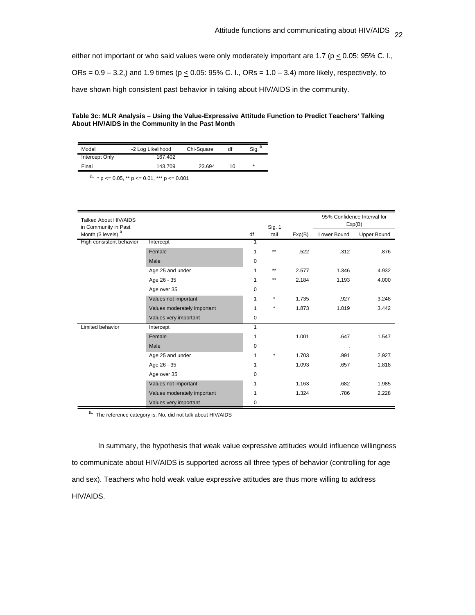either not important or who said values were only moderately important are 1.7 ( $p \le 0.05$ : 95% C. I.,

ORs =  $0.9 - 3.2$ ,) and 1.9 times ( $p \le 0.05$ : 95% C. I., ORs =  $1.0 - 3.4$ ) more likely, respectively, to

have shown high consistent past behavior in taking about HIV/AIDS in the community.

# **Table 3c: MLR Analysis – Using the Value-Expressive Attitude Function to Predict Teachers' Talking About HIV/AIDS in the Community in the Past Month**

| Model          | -2 Log Likelihood | Chi-Square | df | Sia.    |
|----------------|-------------------|------------|----|---------|
| Intercept Only | 167.402           |            |    |         |
| Final          | 143.709           | 23.694     | 10 | $\star$ |

a.  $* p \le 0.05$ ,  $** p \le 0.01$ ,  $*** p \le 0.001$ 

| Talked About HIV/AIDS<br>in Community in Past |                             |    | Sig. 1       |        | Exp(B)      | 95% Confidence Interval for |
|-----------------------------------------------|-----------------------------|----|--------------|--------|-------------|-----------------------------|
| Month (3 levels) <sup>a</sup>                 |                             | df | tail         | Exp(B) | Lower Bound | <b>Upper Bound</b>          |
| High consistent behavior                      | Intercept                   | 1  |              |        |             |                             |
|                                               | Female                      | 1  | $\star\star$ | .522   | .312        | .876                        |
|                                               | Male                        | 0  |              |        |             |                             |
|                                               | Age 25 and under            | 1  | $**$         | 2.577  | 1.346       | 4.932                       |
|                                               | Age 26 - 35                 | 1  | $\star\star$ | 2.184  | 1.193       | 4.000                       |
|                                               | Age over 35                 | 0  |              |        |             |                             |
|                                               | Values not important        | 1  | $\star$      | 1.735  | .927        | 3.248                       |
|                                               | Values moderately important | 1  | $\star$      | 1.873  | 1.019       | 3.442                       |
|                                               | Values very important       | 0  |              |        |             |                             |
| Limited behavior                              | Intercept                   | 1  |              |        |             |                             |
|                                               | Female                      | 1  |              | 1.001  | .647        | 1.547                       |
|                                               | Male                        | 0  |              |        |             |                             |
|                                               | Age 25 and under            | 1  | $\star$      | 1.703  | .991        | 2.927                       |
|                                               | Age 26 - 35                 | 1  |              | 1.093  | .657        | 1.818                       |
|                                               | Age over 35                 | 0  |              |        |             |                             |
|                                               | Values not important        | 1  |              | 1.163  | .682        | 1.985                       |
|                                               | Values moderately important | 1  |              | 1.324  | .786        | 2.228                       |
|                                               | Values very important       | 0  |              |        |             |                             |

a. The reference category is: No, did not talk about HIV/AIDS

In summary, the hypothesis that weak value expressive attitudes would influence willingness to communicate about HIV/AIDS is supported across all three types of behavior (controlling for age and sex). Teachers who hold weak value expressive attitudes are thus more willing to address HIV/AIDS.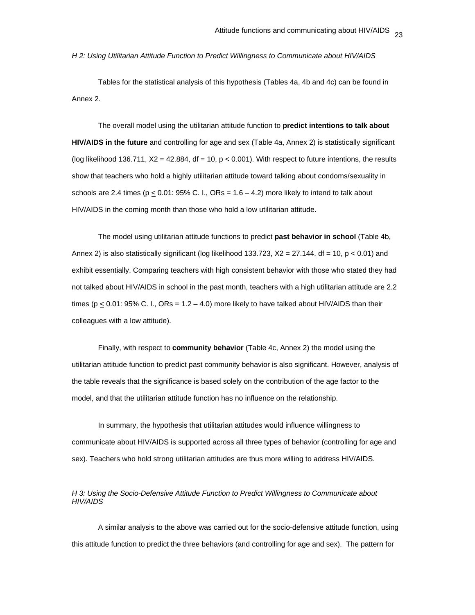*H 2: Using Utilitarian Attitude Function to Predict Willingness to Communicate about HIV/AIDS* 

Tables for the statistical analysis of this hypothesis (Tables 4a, 4b and 4c) can be found in Annex 2.

The overall model using the utilitarian attitude function to **predict intentions to talk about HIV/AIDS in the future** and controlling for age and sex (Table 4a, Annex 2) is statistically significant (log likelihood 136.711,  $X2 = 42.884$ , df = 10,  $p < 0.001$ ). With respect to future intentions, the results show that teachers who hold a highly utilitarian attitude toward talking about condoms/sexuality in schools are 2.4 times ( $p < 0.01$ : 95% C. I., ORs =  $1.6 - 4.2$ ) more likely to intend to talk about HIV/AIDS in the coming month than those who hold a low utilitarian attitude.

The model using utilitarian attitude functions to predict **past behavior in school** (Table 4b, Annex 2) is also statistically significant (log likelihood 133.723,  $X2 = 27.144$ , df = 10, p < 0.01) and exhibit essentially. Comparing teachers with high consistent behavior with those who stated they had not talked about HIV/AIDS in school in the past month, teachers with a high utilitarian attitude are 2.2 times ( $p \le 0.01$ : 95% C. I., ORs = 1.2 – 4.0) more likely to have talked about HIV/AIDS than their colleagues with a low attitude).

Finally, with respect to **community behavior** (Table 4c, Annex 2) the model using the utilitarian attitude function to predict past community behavior is also significant. However, analysis of the table reveals that the significance is based solely on the contribution of the age factor to the model, and that the utilitarian attitude function has no influence on the relationship.

In summary, the hypothesis that utilitarian attitudes would influence willingness to communicate about HIV/AIDS is supported across all three types of behavior (controlling for age and sex). Teachers who hold strong utilitarian attitudes are thus more willing to address HIV/AIDS.

*H 3: Using the Socio-Defensive Attitude Function to Predict Willingness to Communicate about HIV/AIDS* 

A similar analysis to the above was carried out for the socio-defensive attitude function, using this attitude function to predict the three behaviors (and controlling for age and sex). The pattern for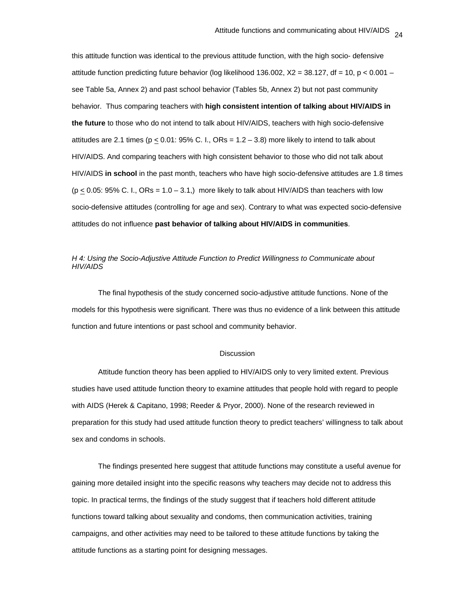this attitude function was identical to the previous attitude function, with the high socio- defensive attitude function predicting future behavior (log likelihood 136.002,  $X2 = 38.127$ , df = 10, p < 0.001 – see Table 5a, Annex 2) and past school behavior (Tables 5b, Annex 2) but not past community behavior. Thus comparing teachers with **high consistent intention of talking about HIV/AIDS in the future** to those who do not intend to talk about HIV/AIDS, teachers with high socio-defensive attitudes are 2.1 times ( $p \le 0.01$ : 95% C. I., ORs = 1.2 – 3.8) more likely to intend to talk about HIV/AIDS. And comparing teachers with high consistent behavior to those who did not talk about HIV/AIDS **in school** in the past month, teachers who have high socio-defensive attitudes are 1.8 times  $(p < 0.05: 95\% C. I., ORs = 1.0 - 3.1)$  more likely to talk about HIV/AIDS than teachers with low socio-defensive attitudes (controlling for age and sex). Contrary to what was expected socio-defensive attitudes do not influence **past behavior of talking about HIV/AIDS in communities**.

# *H 4: Using the Socio-Adjustive Attitude Function to Predict Willingness to Communicate about HIV/AIDS*

The final hypothesis of the study concerned socio-adjustive attitude functions. None of the models for this hypothesis were significant. There was thus no evidence of a link between this attitude function and future intentions or past school and community behavior.

#### **Discussion**

Attitude function theory has been applied to HIV/AIDS only to very limited extent. Previous studies have used attitude function theory to examine attitudes that people hold with regard to people with AIDS (Herek & Capitano, 1998; Reeder & Pryor, 2000). None of the research reviewed in preparation for this study had used attitude function theory to predict teachers' willingness to talk about sex and condoms in schools.

The findings presented here suggest that attitude functions may constitute a useful avenue for gaining more detailed insight into the specific reasons why teachers may decide not to address this topic. In practical terms, the findings of the study suggest that if teachers hold different attitude functions toward talking about sexuality and condoms, then communication activities, training campaigns, and other activities may need to be tailored to these attitude functions by taking the attitude functions as a starting point for designing messages.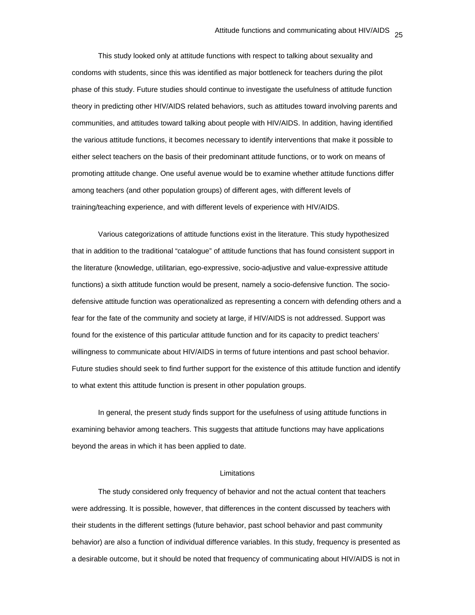This study looked only at attitude functions with respect to talking about sexuality and condoms with students, since this was identified as major bottleneck for teachers during the pilot phase of this study. Future studies should continue to investigate the usefulness of attitude function theory in predicting other HIV/AIDS related behaviors, such as attitudes toward involving parents and communities, and attitudes toward talking about people with HIV/AIDS. In addition, having identified the various attitude functions, it becomes necessary to identify interventions that make it possible to either select teachers on the basis of their predominant attitude functions, or to work on means of promoting attitude change. One useful avenue would be to examine whether attitude functions differ among teachers (and other population groups) of different ages, with different levels of training/teaching experience, and with different levels of experience with HIV/AIDS.

Various categorizations of attitude functions exist in the literature. This study hypothesized that in addition to the traditional "catalogue" of attitude functions that has found consistent support in the literature (knowledge, utilitarian, ego-expressive, socio-adjustive and value-expressive attitude functions) a sixth attitude function would be present, namely a socio-defensive function. The sociodefensive attitude function was operationalized as representing a concern with defending others and a fear for the fate of the community and society at large, if HIV/AIDS is not addressed. Support was found for the existence of this particular attitude function and for its capacity to predict teachers' willingness to communicate about HIV/AIDS in terms of future intentions and past school behavior. Future studies should seek to find further support for the existence of this attitude function and identify to what extent this attitude function is present in other population groups.

In general, the present study finds support for the usefulness of using attitude functions in examining behavior among teachers. This suggests that attitude functions may have applications beyond the areas in which it has been applied to date.

#### Limitations

The study considered only frequency of behavior and not the actual content that teachers were addressing. It is possible, however, that differences in the content discussed by teachers with their students in the different settings (future behavior, past school behavior and past community behavior) are also a function of individual difference variables. In this study, frequency is presented as a desirable outcome, but it should be noted that frequency of communicating about HIV/AIDS is not in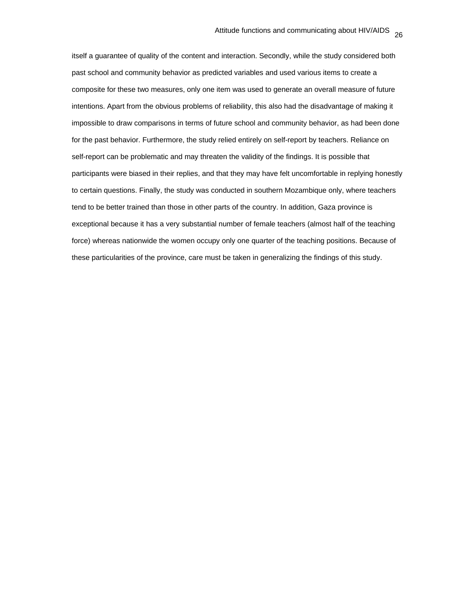itself a guarantee of quality of the content and interaction. Secondly, while the study considered both past school and community behavior as predicted variables and used various items to create a composite for these two measures, only one item was used to generate an overall measure of future intentions. Apart from the obvious problems of reliability, this also had the disadvantage of making it impossible to draw comparisons in terms of future school and community behavior, as had been done for the past behavior. Furthermore, the study relied entirely on self-report by teachers. Reliance on self-report can be problematic and may threaten the validity of the findings. It is possible that participants were biased in their replies, and that they may have felt uncomfortable in replying honestly to certain questions. Finally, the study was conducted in southern Mozambique only, where teachers tend to be better trained than those in other parts of the country. In addition, Gaza province is exceptional because it has a very substantial number of female teachers (almost half of the teaching force) whereas nationwide the women occupy only one quarter of the teaching positions. Because of these particularities of the province, care must be taken in generalizing the findings of this study.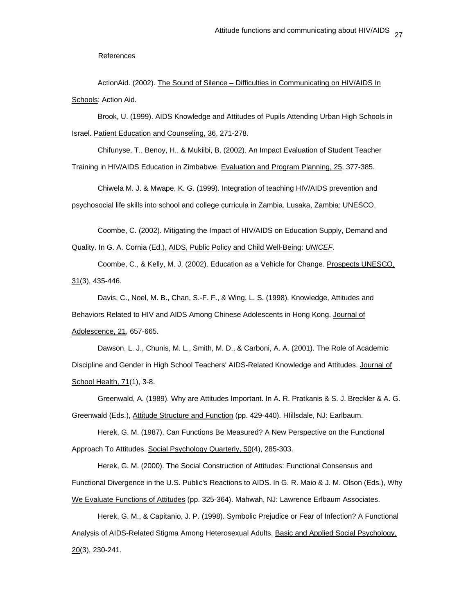References

ActionAid. (2002). The Sound of Silence – Difficulties in Communicating on HIV/AIDS In Schools: Action Aid.

 Brook, U. (1999). AIDS Knowledge and Attitudes of Pupils Attending Urban High Schools in Israel. Patient Education and Counseling, 36, 271-278.

 Chifunyse, T., Benoy, H., & Mukiibi, B. (2002). An Impact Evaluation of Student Teacher Training in HIV/AIDS Education in Zimbabwe. Evaluation and Program Planning, 25, 377-385.

Chiwela M. J. & Mwape, K. G. (1999). Integration of teaching HIV/AIDS prevention and psychosocial life skills into school and college curricula in Zambia. Lusaka, Zambia: UNESCO.

Coombe, C. (2002). Mitigating the Impact of HIV/AIDS on Education Supply, Demand and Quality. In G. A. Cornia (Ed.), AIDS, Public Policy and Child Well-Being: *UNICEF*.

 Coombe, C., & Kelly, M. J. (2002). Education as a Vehicle for Change. Prospects UNESCO, 31(3), 435-446.

 Davis, C., Noel, M. B., Chan, S.-F. F., & Wing, L. S. (1998). Knowledge, Attitudes and Behaviors Related to HIV and AIDS Among Chinese Adolescents in Hong Kong. Journal of Adolescence, 21, 657-665.

 Dawson, L. J., Chunis, M. L., Smith, M. D., & Carboni, A. A. (2001). The Role of Academic Discipline and Gender in High School Teachers' AIDS-Related Knowledge and Attitudes. Journal of School Health, 71(1), 3-8.

 Greenwald, A. (1989). Why are Attitudes Important. In A. R. Pratkanis & S. J. Breckler & A. G. Greenwald (Eds.), Attitude Structure and Function (pp. 429-440). HIillsdale, NJ: Earlbaum.

 Herek, G. M. (1987). Can Functions Be Measured? A New Perspective on the Functional Approach To Attitudes. Social Psychology Quarterly, 50(4), 285-303.

 Herek, G. M. (2000). The Social Construction of Attitudes: Functional Consensus and Functional Divergence in the U.S. Public's Reactions to AIDS. In G. R. Maio & J. M. Olson (Eds.), Why We Evaluate Functions of Attitudes (pp. 325-364). Mahwah, NJ: Lawrence Erlbaum Associates.

 Herek, G. M., & Capitanio, J. P. (1998). Symbolic Prejudice or Fear of Infection? A Functional Analysis of AIDS-Related Stigma Among Heterosexual Adults. Basic and Applied Social Psychology, 20(3), 230-241.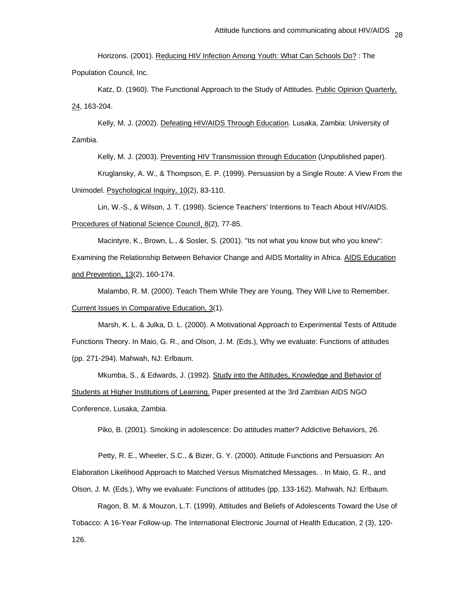Horizons. (2001). Reducing HIV Infection Among Youth: What Can Schools Do? : The Population Council, Inc.

Katz, D. (1960). The Functional Approach to the Study of Attitudes. Public Opinion Quarterly, 24, 163-204.

 Kelly, M. J. (2002). Defeating HIV/AIDS Through Education. Lusaka, Zambia: University of Zambia.

Kelly, M. J. (2003). Preventing HIV Transmission through Education (Unpublished paper).

 Kruglansky, A. W., & Thompson, E. P. (1999). Persuasion by a Single Route: A View From the Unimodel. Psychological Inquiry, 10(2), 83-110.

 Lin, W.-S., & Wilson, J. T. (1998). Science Teachers' Intentions to Teach About HIV/AIDS. Procedures of National Science Council, 8(2), 77-85.

 Macintyre, K., Brown, L., & Sosler, S. (2001). "Its not what you know but who you knew": Examining the Relationship Between Behavior Change and AIDS Mortality in Africa. AIDS Education and Prevention, 13(2), 160-174.

 Malambo, R. M. (2000). Teach Them While They are Young, They Will Live to Remember. Current Issues in Comparative Education, 3(1).

Marsh, K. L. & Julka, D. L. (2000). A Motivational Approach to Experimental Tests of Attitude Functions Theory. In Maio, G. R., and Olson, J. M. (Eds.), Why we evaluate: Functions of attitudes (pp. 271-294). Mahwah, NJ: Erlbaum.

 Mkumba, S., & Edwards, J. (1992). Study into the Attitudes, Knowledge and Behavior of Students at Higher Institutions of Learning. Paper presented at the 3rd Zambian AIDS NGO Conference, Lusaka, Zambia.

Piko, B. (2001). Smoking in adolescence: Do attitudes matter? Addictive Behaviors, 26.

Petty, R. E., Wheeler, S.C., & Bizer, G. Y. (2000). Attitude Functions and Persuasion: An Elaboration Likelihood Approach to Matched Versus Mismatched Messages. . In Maio, G. R., and Olson, J. M. (Eds.), Why we evaluate: Functions of attitudes (pp. 133-162). Mahwah, NJ: Erlbaum.

Ragon, B. M. & Mouzon, L.T. (1999). Attitudes and Beliefs of Adolescents Toward the Use of Tobacco: A 16-Year Follow-up. The International Electronic Journal of Health Education, 2 (3), 120- 126.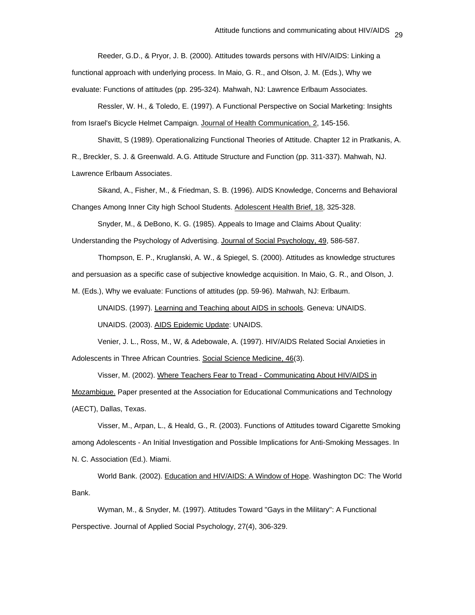Reeder, G.D., & Pryor, J. B. (2000). Attitudes towards persons with HIV/AIDS: Linking a functional approach with underlying process. In Maio, G. R., and Olson, J. M. (Eds.), Why we evaluate: Functions of attitudes (pp. 295-324). Mahwah, NJ: Lawrence Erlbaum Associates.

 Ressler, W. H., & Toledo, E. (1997). A Functional Perspective on Social Marketing: Insights from Israel's Bicycle Helmet Campaign. Journal of Health Communication, 2, 145-156.

Shavitt, S (1989). Operationalizing Functional Theories of Attitude. Chapter 12 in Pratkanis, A. R., Breckler, S. J. & Greenwald. A.G. Attitude Structure and Function (pp. 311-337). Mahwah, NJ. Lawrence Erlbaum Associates.

 Sikand, A., Fisher, M., & Friedman, S. B. (1996). AIDS Knowledge, Concerns and Behavioral Changes Among Inner City high School Students. Adolescent Health Brief, 18, 325-328.

 Snyder, M., & DeBono, K. G. (1985). Appeals to Image and Claims About Quality: Understanding the Psychology of Advertising. Journal of Social Psychology, 49, 586-587.

Thompson, E. P., Kruglanski, A. W., & Spiegel, S. (2000). Attitudes as knowledge structures and persuasion as a specific case of subjective knowledge acquisition. In Maio, G. R., and Olson, J. M. (Eds.), Why we evaluate: Functions of attitudes (pp. 59-96). Mahwah, NJ: Erlbaum.

UNAIDS. (1997). Learning and Teaching about AIDS in schools. Geneva: UNAIDS.

UNAIDS. (2003). AIDS Epidemic Update: UNAIDS.

 Venier, J. L., Ross, M., W, & Adebowale, A. (1997). HIV/AIDS Related Social Anxieties in Adolescents in Three African Countries. Social Science Medicine, 46(3).

 Visser, M. (2002). Where Teachers Fear to Tread - Communicating About HIV/AIDS in Mozambique. Paper presented at the Association for Educational Communications and Technology (AECT), Dallas, Texas.

 Visser, M., Arpan, L., & Heald, G., R. (2003). Functions of Attitudes toward Cigarette Smoking among Adolescents - An Initial Investigation and Possible Implications for Anti-Smoking Messages. In N. C. Association (Ed.). Miami.

 World Bank. (2002). Education and HIV/AIDS: A Window of Hope. Washington DC: The World Bank.

 Wyman, M., & Snyder, M. (1997). Attitudes Toward "Gays in the Military": A Functional Perspective. Journal of Applied Social Psychology, 27(4), 306-329.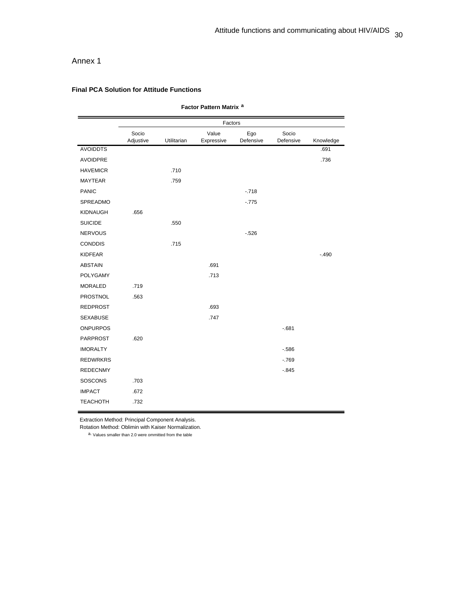# Annex 1

# **Final PCA Solution for Attitude Functions**

| Factor Pattern Matrix <sup>a</sup> |                    |             |                     |                  |                    |           |  |
|------------------------------------|--------------------|-------------|---------------------|------------------|--------------------|-----------|--|
|                                    |                    |             | Factors             |                  |                    |           |  |
|                                    | Socio<br>Adjustive | Utilitarian | Value<br>Expressive | Ego<br>Defensive | Socio<br>Defensive | Knowledge |  |
| <b>AVOIDDTS</b>                    |                    |             |                     |                  |                    | .691      |  |
| <b>AVOIDPRE</b>                    |                    |             |                     |                  |                    | .736      |  |
| <b>HAVEMICR</b>                    |                    | .710        |                     |                  |                    |           |  |
| <b>MAYTEAR</b>                     |                    | .759        |                     |                  |                    |           |  |
| <b>PANIC</b>                       |                    |             |                     | $-718$           |                    |           |  |
| SPREADMO                           |                    |             |                     | $-775$           |                    |           |  |
| KIDNAUGH                           | .656               |             |                     |                  |                    |           |  |
| <b>SUICIDE</b>                     |                    | .550        |                     |                  |                    |           |  |
| <b>NERVOUS</b>                     |                    |             |                     | $-526$           |                    |           |  |
| <b>CONDDIS</b>                     |                    | .715        |                     |                  |                    |           |  |
| <b>KIDFEAR</b>                     |                    |             |                     |                  |                    | $-.490$   |  |
| <b>ABSTAIN</b>                     |                    |             | .691                |                  |                    |           |  |
| <b>POLYGAMY</b>                    |                    |             | .713                |                  |                    |           |  |
| <b>MORALED</b>                     | .719               |             |                     |                  |                    |           |  |
| PROSTNOL                           | .563               |             |                     |                  |                    |           |  |
| <b>REDPROST</b>                    |                    |             | .693                |                  |                    |           |  |
| <b>SEXABUSE</b>                    |                    |             | .747                |                  |                    |           |  |
| <b>ONPURPOS</b>                    |                    |             |                     |                  | $-681$             |           |  |
| <b>PARPROST</b>                    | .620               |             |                     |                  |                    |           |  |
| <b>IMORALTY</b>                    |                    |             |                     |                  | $-586$             |           |  |
| <b>REDWRKRS</b>                    |                    |             |                     |                  | $-769$             |           |  |
| <b>REDECNMY</b>                    |                    |             |                     |                  | $-0.845$           |           |  |
| SOSCONS                            | .703               |             |                     |                  |                    |           |  |
| <b>IMPACT</b>                      | .672               |             |                     |                  |                    |           |  |
| <b>TEACHOTH</b>                    | .732               |             |                     |                  |                    |           |  |

Extraction Method: Principal Component Analysis.

Rotation Method: Oblimin with Kaiser Normalization.

a. Values smaller than 2.0 were ommitted from the table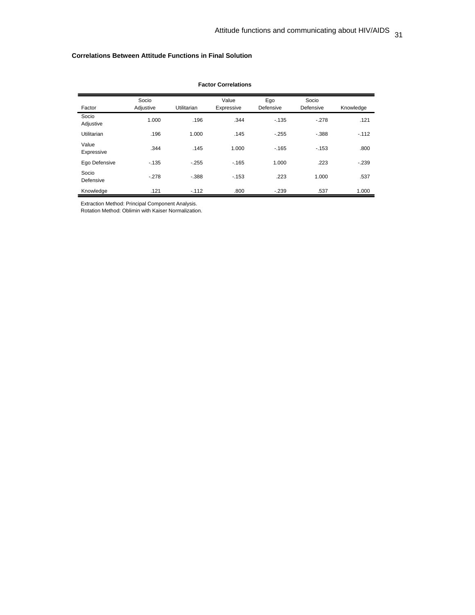# **Correlations Between Attitude Functions in Final Solution**

| Factor              | Socio<br>Adjustive | <b>Utilitarian</b> | Value<br>Expressive | Ego<br>Defensive | Socio<br>Defensive | Knowledge |
|---------------------|--------------------|--------------------|---------------------|------------------|--------------------|-----------|
| Socio<br>Adjustive  | 1.000              | .196               | .344                | $-135$           | $-278$             | .121      |
| Utilitarian         | .196               | 1.000              | .145                | $-255$           | $-.388$            | $-112$    |
| Value<br>Expressive | .344               | .145               | 1.000               | $-165$           | $-153$             | .800      |
| Ego Defensive       | $-135$             | $-255$             | $-165$              | 1.000            | .223               | $-239$    |
| Socio<br>Defensive  | $-.278$            | $-.388$            | $-153$              | .223             | 1.000              | .537      |
| Knowledge           | .121               | $-112$             | .800                | $-239$           | .537               | 1.000     |

#### **Factor Correlations**

Extraction Method: Principal Component Analysis.

Rotation Method: Oblimin with Kaiser Normalization.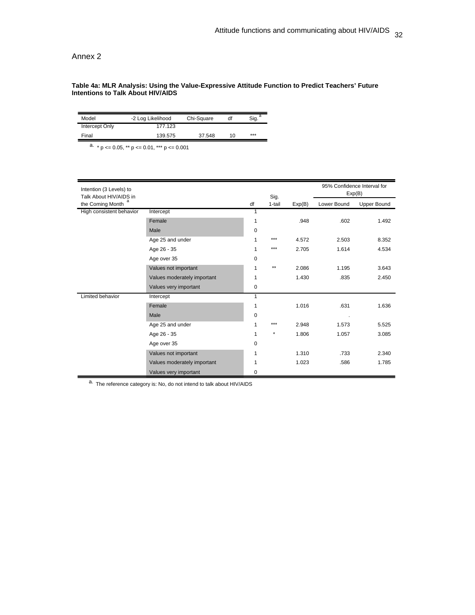Annex 2

#### **Table 4a: MLR Analysis: Using the Value-Expressive Attitude Function to Predict Teachers' Future Intentions to Talk About HIV/AIDS**

| Model          | -2 Log Likelihood | Chi-Square | df | Sig. |
|----------------|-------------------|------------|----|------|
| Intercept Only | 177.123           |            |    |      |
| Final          | 139.575           | 37.548     | 10 | ***  |

a.  $\star$  p  $\lt$  = 0.05,  $\star$  p  $\lt$  = 0.01,  $\star$  $\star$  p  $\lt$  = 0.001

| Intention (3 Levels) to<br>Talk About HIV/AIDS in |                             |             | Sig.    |        | 95% Confidence Interval for<br>Exp(B) |                    |
|---------------------------------------------------|-----------------------------|-------------|---------|--------|---------------------------------------|--------------------|
| the Coming Month                                  |                             | df          | 1-tail  | Exp(B) | Lower Bound                           | <b>Upper Bound</b> |
| High consistent behavior                          | Intercept                   |             |         |        |                                       |                    |
|                                                   | Female                      | 1           |         | .948   | .602                                  | 1.492              |
|                                                   | Male                        | 0           |         |        |                                       |                    |
|                                                   | Age 25 and under            |             | ***     | 4.572  | 2.503                                 | 8.352              |
|                                                   | Age 26 - 35                 | 1           | ***     | 2.705  | 1.614                                 | 4.534              |
|                                                   | Age over 35                 | $\mathbf 0$ |         |        |                                       |                    |
|                                                   | Values not important        | 1           | $***$   | 2.086  | 1.195                                 | 3.643              |
|                                                   | Values moderately important | 1           |         | 1.430  | .835                                  | 2.450              |
|                                                   | Values very important       | 0           |         |        |                                       |                    |
| Limited behavior                                  | Intercept                   | 1           |         |        |                                       |                    |
|                                                   | Female                      | 1           |         | 1.016  | .631                                  | 1.636              |
|                                                   | Male                        | 0           |         |        | $\cdot$                               |                    |
|                                                   | Age 25 and under            | 1           | ***     | 2.948  | 1.573                                 | 5.525              |
|                                                   | Age 26 - 35                 | 1           | $\star$ | 1.806  | 1.057                                 | 3.085              |
|                                                   | Age over 35                 | 0           |         |        |                                       |                    |
|                                                   | Values not important        | 1           |         | 1.310  | .733                                  | 2.340              |
|                                                   | Values moderately important | 1           |         | 1.023  | .586                                  | 1.785              |
|                                                   | Values very important       | $\mathbf 0$ |         |        |                                       |                    |

a. The reference category is: No, do not intend to talk about HIV/AIDS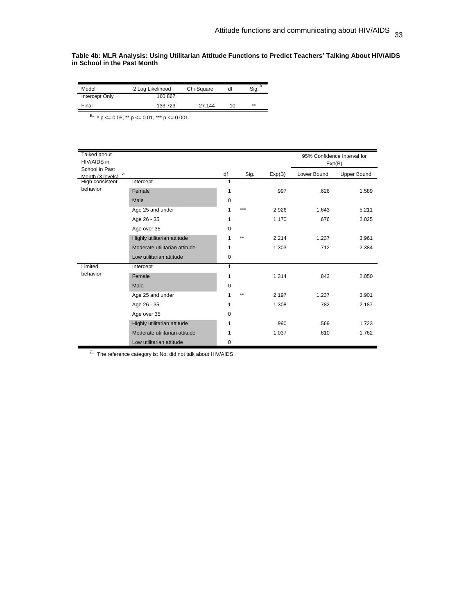**Table 4b: MLR Analysis: Using Utilitarian Attitude Functions to Predict Teachers' Talking About HIV/AIDS in School in the Past Month** 

| Model                 | -2 Log Likelihood | Chi-Square | df | Sig. |
|-----------------------|-------------------|------------|----|------|
| <b>Intercept Only</b> | 160.867           |            |    |      |
| Final                 | 133.723           | 27.144     | 10 | **   |

 $\frac{a}{p}$  × p <= 0.05, \*\* p <= 0.01, \*\*\* p <= 0.001

| Talked about           |                               |          |      |        |                             |                    |
|------------------------|-------------------------------|----------|------|--------|-----------------------------|--------------------|
| HIV/AIDS in            |                               |          |      |        | 95% Confidence Interval for |                    |
| School in Past         |                               |          |      |        | Exp(B)                      |                    |
| a<br>Month (3 levels)  |                               | df       | Sig. | Exp(B) | Lower Bound                 | <b>Upper Bound</b> |
| <b>High consistent</b> | Intercept                     | 1        |      |        |                             |                    |
| behavior               | Female                        | 1        |      | .997   | .626                        | 1.589              |
|                        | Male                          | 0        |      |        |                             |                    |
|                        | Age 25 and under              | 1        | ***  | 2.926  | 1.643                       | 5.211              |
|                        | Age 26 - 35                   | 1        |      | 1.170  | .676                        | 2.025              |
|                        | Age over 35                   | 0        |      |        |                             |                    |
|                        | Highly utilitarian attitude   | 1        | $**$ | 2.214  | 1.237                       | 3.961              |
|                        | Moderate utilitarian attitude | 1        |      | 1.303  | .712                        | 2.384              |
|                        | Low utilitarian attitude      | 0        |      |        |                             |                    |
| Limited                | Intercept                     | 1        |      |        |                             |                    |
| behavior               | Female                        | 1        |      | 1.314  | .843                        | 2.050              |
|                        | Male                          | 0        |      |        |                             |                    |
|                        | Age 25 and under              | 1        | $**$ | 2.197  | 1.237                       | 3.901              |
|                        | Age 26 - 35                   | 1        |      | 1.308  | .782                        | 2.187              |
|                        | Age over 35                   | $\Omega$ |      |        |                             |                    |
|                        | Highly utilitarian attitude   | 1        |      | .990   | .569                        | 1.723              |
|                        | Moderate utilitarian attitude | 1        |      | 1.037  | .610                        | 1.762              |
|                        | Low utilitarian attitude      | 0        |      |        |                             |                    |

 $a.$  The reference category is: No, did not talk about HIV/AIDS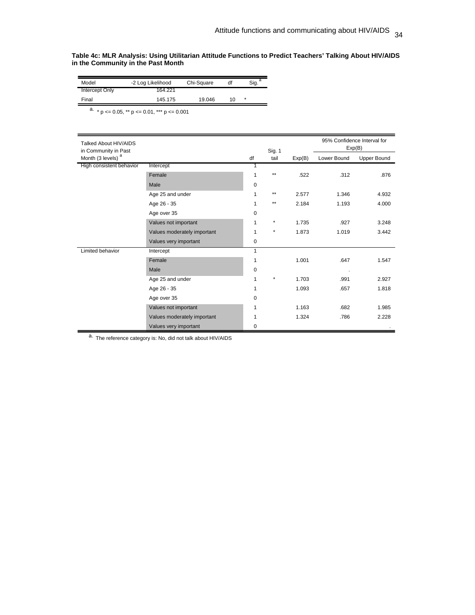#### **Table 4c: MLR Analysis: Using Utilitarian Attitude Functions to Predict Teachers' Talking About HIV/AIDS in the Community in the Past Month**

| Model          | -2 Log Likelihood | Chi-Square | df | Sig.    |
|----------------|-------------------|------------|----|---------|
| Intercept Only | 164.221           |            |    |         |
| Final          | 145.175           | 19.046     | 10 | $\star$ |

 $\frac{a}{p}$  × p <= 0.05, \*\* p <= 0.01, \*\*\* p <= 0.001

| Talked About HIV/AIDS<br>in Community in Past |                             | Sig. 1       |              | 95% Confidence Interval for<br>Exp(B) |             |                    |
|-----------------------------------------------|-----------------------------|--------------|--------------|---------------------------------------|-------------|--------------------|
| Month (3 levels) <sup>a</sup>                 |                             | df           | tail         | Exp(B)                                | Lower Bound | <b>Upper Bound</b> |
| High consistent behavior                      | Intercept                   | 1            |              |                                       |             |                    |
|                                               | Female                      | 1            | $\star\star$ | .522                                  | .312        | .876               |
|                                               | Male                        | 0            |              |                                       |             |                    |
|                                               | Age 25 and under            | 1            | $**$         | 2.577                                 | 1.346       | 4.932              |
|                                               | Age 26 - 35                 | 1            | $***$        | 2.184                                 | 1.193       | 4.000              |
|                                               | Age over 35                 | 0            |              |                                       |             |                    |
|                                               | Values not important        | 1            | $\star$      | 1.735                                 | .927        | 3.248              |
|                                               | Values moderately important | 1            | $\star$      | 1.873                                 | 1.019       | 3.442              |
|                                               | Values very important       | 0            |              |                                       |             |                    |
| Limited behavior                              | Intercept                   | $\mathbf{1}$ |              |                                       |             |                    |
|                                               | Female                      | 1            |              | 1.001                                 | .647        | 1.547              |
|                                               | Male                        | $\Omega$     |              |                                       |             |                    |
|                                               | Age 25 and under            | 1            | $\star$      | 1.703                                 | .991        | 2.927              |
|                                               | Age 26 - 35                 | 1            |              | 1.093                                 | .657        | 1.818              |
|                                               | Age over 35                 | 0            |              |                                       |             |                    |
|                                               | Values not important        | 1            |              | 1.163                                 | .682        | 1.985              |
|                                               | Values moderately important | 1            |              | 1.324                                 | .786        | 2.228              |
|                                               | Values very important       | 0            |              |                                       |             |                    |

a. The reference category is: No, did not talk about HIV/AIDS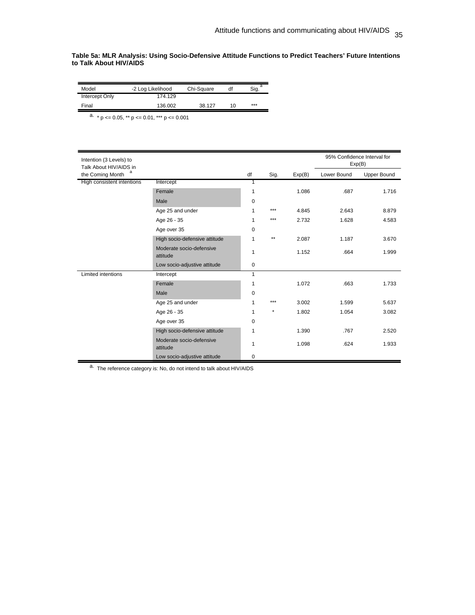**Table 5a: MLR Analysis: Using Socio-Defensive Attitude Functions to Predict Teachers' Future Intentions to Talk About HIV/AIDS** 

| Model          | -2 Log Likelihood | Chi-Square | df | Sig. <sup>a</sup> |
|----------------|-------------------|------------|----|-------------------|
| Intercept Only | 174.129           |            |    |                   |
| Final          | 136.002           | 38.127     | 10 | ***               |

 $\frac{a}{p}$  × p <= 0.05, \*\* p <= 0.01, \*\*\* p <= 0.001

| Intention (3 Levels) to<br>Talk About HIV/AIDS in |                                      |              |         |        | 95% Confidence Interval for<br>Exp(B) |                    |
|---------------------------------------------------|--------------------------------------|--------------|---------|--------|---------------------------------------|--------------------|
| а<br>the Coming Month                             |                                      | df           | Sig.    | Exp(B) | Lower Bound                           | <b>Upper Bound</b> |
| High consistent intentions                        | Intercept                            | $\mathbf{1}$ |         |        |                                       |                    |
|                                                   | Female                               | 1            |         | 1.086  | .687                                  | 1.716              |
|                                                   | Male                                 | 0            |         |        |                                       |                    |
|                                                   | Age 25 and under                     | 1            | ***     | 4.845  | 2.643                                 | 8.879              |
|                                                   | Age 26 - 35                          | 1            | ***     | 2.732  | 1.628                                 | 4.583              |
|                                                   | Age over 35                          | 0            |         |        |                                       |                    |
|                                                   | High socio-defensive attitude        | 1            | $***$   | 2.087  | 1.187                                 | 3.670              |
|                                                   | Moderate socio-defensive<br>attitude | 1            |         | 1.152  | .664                                  | 1.999              |
|                                                   | Low socio-adjustive attitude         | 0            |         |        |                                       |                    |
| Limited intentions                                | Intercept                            | $\mathbf{1}$ |         |        |                                       |                    |
|                                                   | Female                               | 1            |         | 1.072  | .663                                  | 1.733              |
|                                                   | Male                                 | 0            |         |        |                                       |                    |
|                                                   | Age 25 and under                     | 1            | ***     | 3.002  | 1.599                                 | 5.637              |
|                                                   | Age 26 - 35                          | 1            | $\star$ | 1.802  | 1.054                                 | 3.082              |
|                                                   | Age over 35                          | 0            |         |        |                                       |                    |
|                                                   | High socio-defensive attitude        | 1            |         | 1.390  | .767                                  | 2.520              |
|                                                   | Moderate socio-defensive<br>attitude | 1            |         | 1.098  | .624                                  | 1.933              |
|                                                   | Low socio-adjustive attitude         | 0            |         |        |                                       |                    |

a. The reference category is: No, do not intend to talk about HIV/AIDS